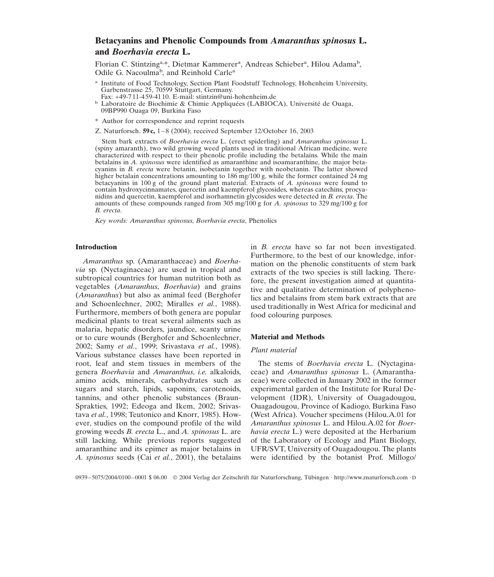# **Betacyanins and Phenolic Compounds from** *Amaranthus spinosus* **L. and** *Boerhavia erecta* **L.**

Florian C. Stintzing<sup>a,\*</sup>, Dietmar Kammerer<sup>a</sup>, Andreas Schieber<sup>a</sup>, Hilou Adama<sup>b</sup>, Odile G. Nacoulma<sup>b</sup>, and Reinhold Carle<sup>a</sup>

- <sup>a</sup> Institute of Food Technology, Section Plant Foodstuff Technology, Hohenheim University, Garbenstrasse 25, 70599 Stuttgart, Germany.<br>Fax: +49-711-459-4110. E-mail: stintzin@uni-hohenheim.de
- 
- Laboratoire de Biochimie & Chimie Appliquées (LABIOCA), Université de Ouaga, 09BP990 Ouaga 09, Burkina Faso
- \* Author for correspondence and reprint requests
- Z. Naturforsch. **59 c,** 1–8 (2004); received September 12/October 16, 2003

Stem bark extracts of *Boerhavia erecta* L. (erect spiderling) and *Amaranthus spinosus* L. (spiny amaranth), two wild growing weed plants used in traditional African medicine, were characterized with respect to their phenolic profile including the betalains. While the main betalains in *A. spinosus* were identified as amaranthine and isoamaranthine, the major betacyanins in *B. erecta* were betanin, isobetanin together with neobetanin. The latter showed higher betalain concentrations amounting to 186 mg/100 g, while the former contained 24 mg betacyanins in 100 g of the ground plant material. Extracts of *A. spinosus* were found to contain hydroxycinnamates, quercetin and kaempferol glycosides, whereas catechins, procyanidins and quercetin, kaempferol and isorhamnetin glycosides were detected in *B. erecta*. The amounts of these compounds ranged from 305 mg/100 g for *A. spinosus* to 329 mg/100 g for *B. erecta*.

*Key words: Amaranthus spinosus*, *Boerhavia erecta*, Phenolics

# **Introduction**

*Amaranthus* sp. (Amaranthaceae) and *Boerhavia* sp. (Nyctaginaceae) are used in tropical and subtropical countries for human nutrition both as vegetables (*Amaranthus*, *Boerhavia*) and grains (*Amaranthus*) but also as animal feed (Berghofer and Schoenlechner, 2002; Miralles *et al.*, 1988). Furthermore, members of both genera are popular medicinal plants to treat several ailments such as malaria, hepatic disorders, jaundice, scanty urine or to cure wounds (Berghofer and Schoenlechner, 2002; Samy *et al.*, 1999; Srivastava *et al.*, 1998). Various substance classes have been reported in root, leaf and stem tissues in members of the genera *Boerhavia* and *Amaranthus*, *i.e.* alkaloids, amino acids, minerals, carbohydrates such as sugars and starch, lipids, saponins, carotenoids, tannins, and other phenolic substances (Braun-Sprakties, 1992; Edeoga and Ikem, 2002; Srivastava *et al.*, 1998; Teutonico and Knorr, 1985). However, studies on the compound profile of the wild growing weeds *B. erecta* L., and *A. spinosus* L. are still lacking. While previous reports suggested amaranthine and its epimer as major betalains in *A. spinosus* seeds (Cai *et al.*, 2001), the betalains

in *B. erecta* have so far not been investigated. Furthermore, to the best of our knowledge, information on the phenolic constituents of stem bark extracts of the two species is still lacking. Therefore, the present investigation aimed at quantitative and qualitative determination of polyphenolics and betalains from stem bark extracts that are used traditionally in West Africa for medicinal and food colouring purposes.

### **Material and Methods**

### *Plant material*

The stems of *Boerhavia erecta* L. (Nyctaginaceae) and *Amaranthus spinosus* L. (Amaranthaceae) were collected in January 2002 in the former experimental garden of the Institute for Rural Development (IDR), University of Ouagadougou, Ouagadougou, Province of Kadiogo, Burkina Faso (West Africa). Voucher specimens (Hilou.A.01 for *Amaranthus spinosus* L. and Hilou.A.02 for *Boerhavia erecta* L.) were deposited at the Herbarium of the Laboratory of Ecology and Plant Biology, UFR/SVT, University of Ouagadougou. The plants were identified by the botanist Prof. Millogo/

0939–5075/2004/0100–0001 \$ 06.00 © 2004 Verlag der Zeitschrift für Naturforschung, Tübingen · http://www.znaturforsch.com · D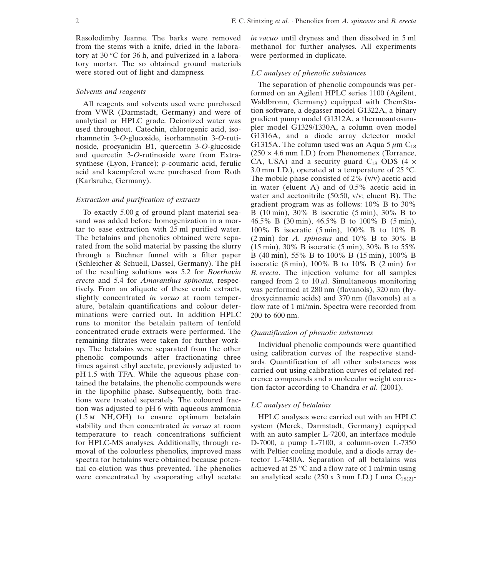Rasolodimby Jeanne. The barks were removed from the stems with a knife, dried in the laboratory at  $30^{\circ}$ C for  $36$  h, and pulverized in a laboratory mortar. The so obtained ground materials were stored out of light and dampness.

### *Solvents and reagents*

All reagents and solvents used were purchased from VWR (Darmstadt, Germany) and were of analytical or HPLC grade. Deionized water was used throughout. Catechin, chlorogenic acid, isorhamnetin 3-*O*-glucoside, isorhamnetin 3-*O*-rutinoside, procyanidin B1, quercetin 3-*O*-glucoside and quercetin 3-*O*-rutinoside were from Extrasynthese (Lyon, France); *p*-coumaric acid, ferulic acid and kaempferol were purchased from Roth (Karlsruhe, Germany).

# *Extraction and purification of extracts*

To exactly 5.00 g of ground plant material seasand was added before homogenization in a mortar to ease extraction with 25 ml purified water. The betalains and phenolics obtained were separated from the solid material by passing the slurry through a Büchner funnel with a filter paper (Schleicher & Schuell, Dassel, Germany). The pH of the resulting solutions was 5.2 for *Boerhavia erecta* and 5.4 for *Amaranthus spinosus*, respectively. From an aliquote of these crude extracts, slightly concentrated *in vacuo* at room temperature, betalain quantifications and colour determinations were carried out. In addition HPLC runs to monitor the betalain pattern of tenfold concentrated crude extracts were performed. The remaining filtrates were taken for further workup. The betalains were separated from the other phenolic compounds after fractionating three times against ethyl acetate, previously adjusted to pH 1.5 with TFA. While the aqueous phase contained the betalains, the phenolic compounds were in the lipophilic phase. Subsequently, both fractions were treated separately. The coloured fraction was adjusted to pH 6 with aqueous ammonia  $(1.5 \text{ m} \text{ NH}_4\text{OH})$  to ensure optimum betalain stability and then concentrated *in vacuo* at room temperature to reach concentrations sufficient for HPLC-MS analyses. Additionally, through removal of the colourless phenolics, improved mass spectra for betalains were obtained because potential co-elution was thus prevented. The phenolics were concentrated by evaporating ethyl acetate

*in vacuo* until dryness and then dissolved in 5 ml methanol for further analyses. All experiments were performed in duplicate.

### *LC analyses of phenolic substances*

The separation of phenolic compounds was performed on an Agilent HPLC series 1100 (Agilent, Waldbronn, Germany) equipped with ChemStation software, a degasser model G1322A, a binary gradient pump model G1312A, a thermoautosampler model G1329/1330A, a column oven model G1316A, and a diode array detector model G1315A. The column used was an Aqua 5  $\mu$ m C<sub>18</sub>  $(250 \times 4.6 \text{ mm } I.D.)$  from Phenomenex (Torrance, CA, USA) and a security guard  $C_{18}$  ODS (4  $\times$ 3.0 mm I.D.), operated at a temperature of  $25 \degree C$ . The mobile phase consisted of  $2\%$  (v/v) acetic acid in water (eluent A) and of 0.5% acetic acid in water and acetonitrile (50:50, v/v; eluent B). The gradient program was as follows: 10% B to 30% B (10 min), 30% B isocratic (5 min), 30% B to 46.5% B (30 min), 46.5% B to 100% B (5 min), 100% B isocratic (5 min), 100% B to 10% B (2 min) for *A. spinosus* and 10% B to 30% B (15 min), 30% B isocratic (5 min), 30% B to 55% B (40 min), 55% B to 100% B (15 min), 100% B isocratic  $(8 \text{ min})$ , 100% B to 10% B  $(2 \text{ min})$  for *B. erecta*. The injection volume for all samples ranged from 2 to  $10 \mu l$ . Simultaneous monitoring was performed at 280 nm (flavanols), 320 nm (hydroxycinnamic acids) and 370 nm (flavonols) at a flow rate of 1 ml/min. Spectra were recorded from 200 to 600 nm.

# *Quantification of phenolic substances*

Individual phenolic compounds were quantified using calibration curves of the respective standards. Quantification of all other substances was carried out using calibration curves of related reference compounds and a molecular weight correction factor according to Chandra *et al.* (2001).

# *LC analyses of betalains*

HPLC analyses were carried out with an HPLC system (Merck, Darmstadt, Germany) equipped with an auto sampler L-7200, an interface module D-7000, a pump L-7100, a column-oven L-7350 with Peltier cooling module, and a diode array detector L-7450A. Separation of all betalains was achieved at 25  $\degree$ C and a flow rate of 1 ml/min using an analytical scale  $(250 \times 3 \text{ mm } I.D.)$  Luna C<sub>18(2)</sub>-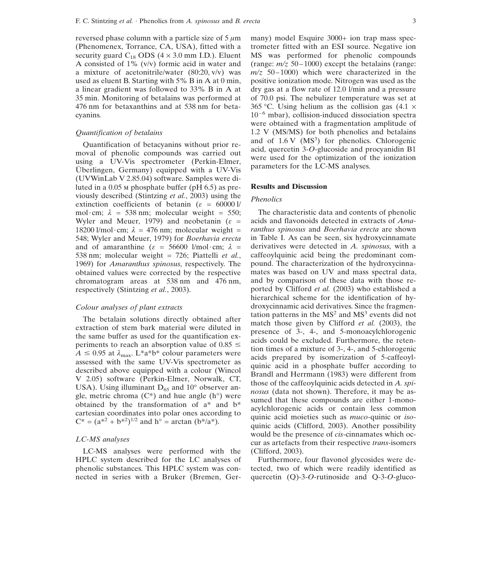reversed phase column with a particle size of  $5 \mu m$ (Phenomenex, Torrance, CA, USA), fitted with a security guard  $C_{18}$  ODS (4  $\times$  3.0 mm I.D.). Eluent A consisted of 1% (v/v) formic acid in water and a mixture of acetonitrile/water (80:20, v/v) was used as eluent B. Starting with 5% B in A at 0 min, a linear gradient was followed to 33% B in A at 35 min. Monitoring of betalains was performed at 476 nm for betaxanthins and at 538 nm for betacyanins.

### *Quantification of betalains*

Quantification of betacyanins without prior removal of phenolic compounds was carried out using a UV-Vis spectrometer (Perkin-Elmer, Überlingen, Germany) equipped with a UV-Vis (UVWinLab V 2.85.04) software. Samples were diluted in a 0.05 m phosphate buffer (pH 6.5) as previously described (Stintzing *et al.*, 2003) using the extinction coefficients of betanin ( $\varepsilon = 60000$  l/ mol·cm;  $\lambda = 538$  nm; molecular weight = 550; Wyler and Meuer, 1979) and neobetanin ( $\varepsilon$  = 18200 l/mol·cm;  $\lambda = 476$  nm; molecular weight = 548; Wyler and Meuer, 1979) for *Boerhavia erecta* and of amaranthine ( $\varepsilon = 56600$  l/mol·cm;  $\lambda =$ 538 nm; molecular weight = 726; Piattelli *et al.*, 1969) for *Amaranthus spinosus*, respectively. The obtained values were corrected by the respective chromatogram areas at 538 nm and 476 nm, respectively (Stintzing *et al.*, 2003).

### *Colour analyses of plant extracts*

The betalain solutions directly obtained after extraction of stem bark material were diluted in the same buffer as used for the quantification experiments to reach an absorption value of  $0.85 \le$  $A \leq 0.95$  at  $\lambda_{\text{max}}$ . L\*a\*b\* colour parameters were assessed with the same UV-Vis spectrometer as described above equipped with a colour (Wincol V 2.05) software (Perkin-Elmer, Norwalk, CT, USA). Using illuminant  $D_{65}$  and  $10^{\circ}$  observer angle, metric chroma  $(C^*)$  and hue angle  $(h^{\circ})$  were obtained by the transformation of a\* and b\* cartesian coordinates into polar ones according to  $C^* = (a^{*2} + b^{*2})^{1/2}$  and  $h^{\circ} = \arctan(b^{*}/a^{*}).$ 

### *LC-MS analyses*

LC-MS analyses were performed with the HPLC system described for the LC analyses of phenolic substances. This HPLC system was connected in series with a Bruker (Bremen, Germany) model Esquire 3000+ ion trap mass spectrometer fitted with an ESI source. Negative ion MS was performed for phenolic compounds (range:  $m/z$  50–1000) except the betalains (range:  $m/z$  50–1000) which were characterized in the positive ionization mode. Nitrogen was used as the dry gas at a flow rate of 12.0 l/min and a pressure of 70.0 psi. The nebulizer temperature was set at 365 °C. Using helium as the collision gas  $(4.1 \times$  $10^{-6}$  mbar), collision-induced dissociation spectra were obtained with a fragmentation amplitude of 1.2 V (MS/MS) for both phenolics and betalains and of  $1.6 \text{ V}$  (MS<sup>3</sup>) for phenolics. Chlorogenic acid, quercetin 3-*O*-glucoside and procyanidin B1 were used for the optimization of the ionization parameters for the LC-MS analyses.

#### **Results and Discussion**

# *Phenolics*

The characteristic data and contents of phenolic acids and flavonoids detected in extracts of *Amaranthus spinosus* and *Boerhavia erecta* are shown in Table I. As can be seen, six hydroxycinnamate derivatives were detected in *A. spinosus*, with a caffeoylquinic acid being the predominant compound. The characterization of the hydroxycinnamates was based on UV and mass spectral data, and by comparison of these data with those reported by Clifford *et al.* (2003) who established a hierarchical scheme for the identification of hydroxycinnamic acid derivatives. Since the fragmentation patterns in the  $MS<sup>2</sup>$  and  $MS<sup>3</sup>$  events did not match those given by Clifford *et al.* (2003), the presence of 3-, 4-, and 5-monoacylchlorogenic acids could be excluded. Furthermore, the retention times of a mixture of 3-, 4-, and 5-chlorogenic acids prepared by isomerization of 5-caffeoylquinic acid in a phosphate buffer according to Brandl and Herrmann (1983) were different from those of the caffeoylquinic acids detected in *A. spinosus* (data not shown). Therefore, it may be assumed that these compounds are either 1-monoacylchlorogenic acids or contain less common quinic acid moieties such as *muco*-quinic or *iso*quinic acids (Clifford, 2003). Another possibility would be the presence of *cis*-cinnamates which occur as artefacts from their respective *trans*-isomers (Clifford, 2003).

Furthermore, four flavonol glycosides were detected, two of which were readily identified as quercetin (Q)-3-*O*-rutinoside and Q-3-*O*-gluco-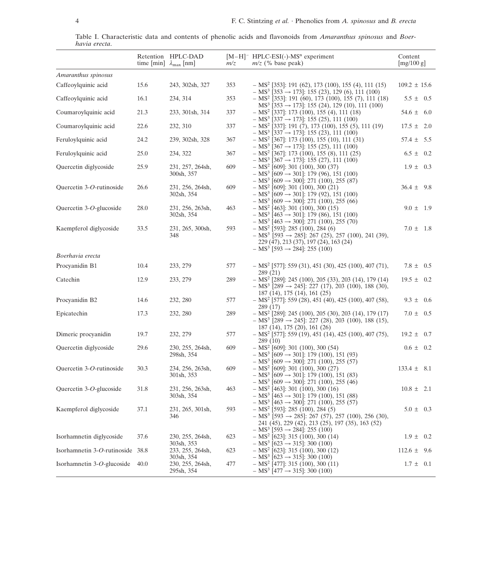|               | Table I. Characteristic data and contents of phenolic acids and flavonoids from <i>Amaranthus spinosus</i> and <i>Boer-</i> |  |  |  |  |  |  |  |
|---------------|-----------------------------------------------------------------------------------------------------------------------------|--|--|--|--|--|--|--|
| havia erecta. |                                                                                                                             |  |  |  |  |  |  |  |

|                                  | time [min] $\lambda_{\text{max}}$ [nm] | Retention HPLC-DAD                           | m/z | $[M-H]$ <sup>-</sup> HPLC-ESI(-)-MS <sup>n</sup> experiment<br>$m/z$ (% base peak)                                                                                                                                              | Content<br>[mg/100 g] |
|----------------------------------|----------------------------------------|----------------------------------------------|-----|---------------------------------------------------------------------------------------------------------------------------------------------------------------------------------------------------------------------------------|-----------------------|
| Amaranthus spinosus              |                                        |                                              |     |                                                                                                                                                                                                                                 |                       |
| Caffeoylquinic acid              | 15.6                                   | 243, 302sh, 327                              | 353 | $-$ MS <sup>2</sup> [353]: 191 (62), 173 (100), 155 (4), 111 (15)                                                                                                                                                               | $109.2 \pm 15.6$      |
| Caffeoylquinic acid              | 16.1                                   | 234, 314                                     | 353 | $- MS^{3}$ [353 $\rightarrow$ 173]: 155 (23), 129 (6), 111 (100)<br>$-$ MS <sup>2</sup> [353]: 191 (60), 173 (100), 155 (7), 111 (18)                                                                                           | $5.5 \pm 0.5$         |
| Coumaroylquinic acid             | 21.3                                   | 233, 301sh, 314                              | 337 | $MS3$ [353 $\rightarrow$ 173]: 155 (24), 129 (10), 111 (100)<br>$- MS2$ [337]: 173 (100), 155 (4), 111 (18)<br>$- MS3$ [337 $\rightarrow$ 173]: 155 (25), 111 (100)                                                             | $54.6 \pm 6.0$        |
| Coumaroylquinic acid             | 22.6                                   | 232, 310                                     | 337 | $- MS2$ [337]: 191 (7), 173 (100), 155 (5), 111 (19)<br>$- MS^3$ [337 $\rightarrow$ 173]: 155 (23), 111 (100)                                                                                                                   | $17.5 \pm 2.0$        |
| Feruloylquinic acid              | 24.2                                   | 239, 302sh, 328                              | 367 | $- MS2$ [367]: 173 (100), 155 (10), 111 (31)<br>$- MS^3$ [367 $\rightarrow$ 173]: 155 (25), 111 (100)                                                                                                                           | $57.4 \pm 5.5$        |
| Feruloylquinic acid              | 25.0                                   | 234, 322                                     | 367 | $- MS2$ [367]: 173 (100), 155 (8), 111 (25)<br>$- MS^3$ [367 $\rightarrow$ 173]: 155 (27), 111 (100)                                                                                                                            | $6.5 \pm 0.2$         |
| Quercetin diglycoside            | 25.9                                   | 231, 257, 264sh,<br>300sh, 357               | 609 | $- MS2$ [609]: 301 (100), 300 (37)<br>$-$ MS <sup>3</sup> [609 $\rightarrow$ 301]: 179 (96), 151 (100)<br>$- MS^{3}$ [609 $\rightarrow$ 300]: 271 (100), 255 (87)                                                               | $1.9 \pm 0.3$         |
| Quercetin 3-O-rutinoside         | 26.6                                   | 231, 256, 264sh,<br>302sh, 354               | 609 | $- MS2$ [609]: 301 (100), 300 (21)<br>$- MS^{3}$ [609 $\rightarrow$ 301]: 179 (92), 151 (100)<br>$- MS^3$ [609 $\rightarrow$ 300]: 271 (100), 255 (66)                                                                          | $36.4 \pm 9.8$        |
| Quercetin 3-O-glucoside          | 28.0                                   | 231, 256, 263sh,<br>302sh, 354               | 463 | $- MS2 [463]: 301 (100), 300 (15)$<br>$- MS^{3}$ [463 $\rightarrow$ 301]: 179 (86), 151 (100)<br>$-$ MS <sup>3</sup> [463 $\rightarrow$ 300]: 271 (100), 255 (70)                                                               | $9.0 \pm 1.9$         |
| Kaempferol diglycoside           | 33.5                                   | 231, 265, 300sh,<br>348                      | 593 | $-$ MS <sup>2</sup> [593]: 285 (100), 284 (6)<br>$-$ MS <sup>3</sup> [593 $\rightarrow$ 285]: 267 (25), 257 (100), 241 (39),<br>229 (47), 213 (37), 197 (24), 163 (24)<br>$- MS^3$ [593 $\rightarrow$ 284]: 255 (100)           | $7.0 \pm 1.8$         |
| Boerhavia erecta                 |                                        |                                              |     |                                                                                                                                                                                                                                 |                       |
| Procyanidin B1                   | 10.4                                   | 233, 279                                     | 577 | $-$ MS <sup>2</sup> [577]: 559 (31), 451 (30), 425 (100), 407 (71),<br>289 (21)                                                                                                                                                 | 7.8 $\pm$<br>0.5      |
| Catechin                         | 12.9                                   | 233, 279                                     | 289 | $-$ MS <sup>2</sup> [289]: 245 (100), 205 (33), 203 (14), 179 (14)<br>$- MS^{3}$ [289 $\rightarrow$ 245]: 227 (17), 203 (100), 188 (30),                                                                                        | $19.5 \pm$<br>0.2     |
| Procyanidin B2                   | 14.6                                   | 232, 280                                     | 577 | 187 (14), 175 (14), 161 (25)<br>$-$ MS <sup>2</sup> [577]: 559 (28), 451 (40), 425 (100), 407 (58),<br>289 (17)                                                                                                                 | $9.3 \pm 0.6$         |
| Epicatechin                      | 17.3                                   | 232, 280                                     | 289 | $-$ MS <sup>2</sup> [289]: 245 (100), 205 (30), 203 (14), 179 (17)<br>$- MS^3$ [289 $\rightarrow$ 245]: 227 (28), 203 (100), 188 (15),                                                                                          | $7.0 \pm 0.5$         |
| Dimeric procyanidin              | 19.7                                   | 232, 279                                     | 577 | 187 (14), 175 (20), 161 (26)<br>$-$ MS <sup>2</sup> [577]: 559 (19), 451 (14), 425 (100), 407 (75),<br>289 (10)                                                                                                                 | $19.2 \pm$<br>0.7     |
| Quercetin diglycoside            | 29.6                                   | 230, 255, 264sh,<br>298sh, 354               | 609 | $- MS2$ [609]: 301 (100), 300 (54)<br>$- MS^3$ [609 $\rightarrow$ 301]: 179 (100), 151 (93)                                                                                                                                     | $0.6 \pm$<br>0.2      |
| Quercetin 3-O-rutinoside         | 30.3                                   | 234, 256, 263sh,<br>301sh, 353               | 609 | $- MS^3$ [609 $\rightarrow$ 300]: 271 (100), 255 (57)<br>$- MS2$ [609]: 301 (100), 300 (27)<br>$-$ MS <sup>3</sup> [609 $\rightarrow$ 301]: 179 (100), 151 (83)                                                                 | $133.4 \pm 8.1$       |
| Quercetin 3-O-glucoside          | 31.8                                   | 231, 256, 263sh,<br>303sh, 354               | 463 | $-$ MS <sup>3</sup> [609 $\rightarrow$ 300]: 271 (100), 255 (46)<br>$- MS^2$ [463]: 301 (100), 300 (16)<br>$- MS^3$ [463 $\rightarrow$ 301]: 179 (100), 151 (88)                                                                | $10.8 \pm 2.1$        |
| Kaempferol diglycoside           | 37.1                                   | 231, 265, 301sh,<br>346                      | 593 | $- MS^{3}$ [463 $\rightarrow$ 300]: 271 (100), 255 (57)<br>$- MS2$ [593]: 285 (100), 284 (5)<br>$-$ MS <sup>3</sup> [593 $\rightarrow$ 285]: 267 (57), 257 (100), 256 (30),<br>241 (45), 229 (42), 213 (25), 197 (35), 163 (52) | $5.0 \pm 0.3$         |
| Isorhamnetin diglycoside         | 37.6                                   | 230, 255, 264sh,                             | 623 | $- MS^3$ [593 $\rightarrow$ 284]: 255 (100)<br>$- MS2$ [623]: 315 (100), 300 (14)<br>$- MS3$ [623 $\rightarrow$ 315]: 300 (100)                                                                                                 | $1.9 \pm 0.2$         |
| Isorhamnetin 3-O-rutinoside 38.8 |                                        | 303sh, 353<br>233, 255, 264sh,<br>303sh, 354 | 623 | $- MS2$ [623]: 315 (100), 300 (12)<br>$- MS^3$ [623 $\rightarrow$ 315]: 300 (100)                                                                                                                                               | $112.6 \pm 9.6$       |
| Isorhamnetin $3-O$ -glucoside    | 40.0                                   | 230, 255, 264sh,<br>295sh, 354               | 477 | $- MS2$ [477]: 315 (100), 300 (11)<br>$- MS^3 [477 \rightarrow 315]$ : 300 (100)                                                                                                                                                | $1.7 \pm 0.1$         |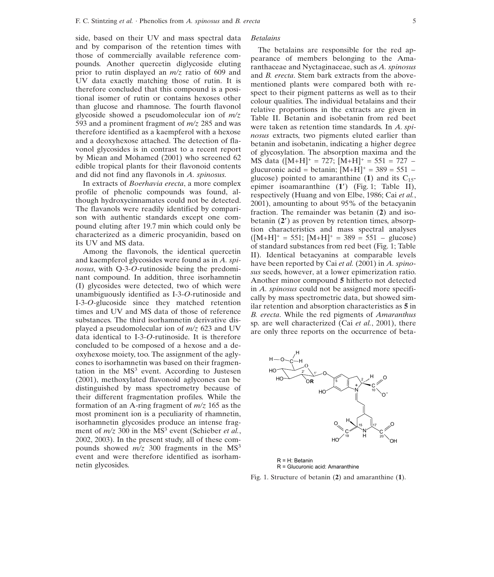side, based on their UV and mass spectral data and by comparison of the retention times with those of commercially available reference compounds. Another quercetin diglycoside eluting prior to rutin displayed an *m/z* ratio of 609 and UV data exactly matching those of rutin. It is therefore concluded that this compound is a positional isomer of rutin or contains hexoses other than glucose and rhamnose. The fourth flavonol glycoside showed a pseudomolecular ion of *m/z* 593 and a prominent fragment of *m/z* 285 and was therefore identified as a kaempferol with a hexose and a deoxyhexose attached. The detection of flavonol glycosides is in contrast to a recent report by Miean and Mohamed (2001) who screened 62 edible tropical plants for their flavonoid contents and did not find any flavonols in *A. spinosus*.

In extracts of *Boerhavia erecta*, a more complex profile of phenolic compounds was found, although hydroxycinnamates could not be detected. The flavanols were readily identified by comparison with authentic standards except one compound eluting after 19.7 min which could only be characterized as a dimeric procyanidin, based on its UV and MS data.

Among the flavonols, the identical quercetin and kaempferol glycosides were found as in *A. spinosus*, with Q-3-*O*-rutinoside being the predominant compound. In addition, three isorhamnetin (I) glycosides were detected, two of which were unambiguously identified as I-3-*O*-rutinoside and I-3-*O*-glucoside since they matched retention times and UV and MS data of those of reference substances. The third isorhamnetin derivative displayed a pseudomolecular ion of *m/z* 623 and UV data identical to I-3-*O*-rutinoside. It is therefore concluded to be composed of a hexose and a deoxyhexose moiety, too. The assignment of the aglycones to isorhamnetin was based on their fragmentation in the  $MS<sup>3</sup>$  event. According to Justesen (2001), methoxylated flavonoid aglycones can be distinguished by mass spectrometry because of their different fragmentation profiles. While the formation of an A-ring fragment of *m/z* 165 as the most prominent ion is a peculiarity of rhamnetin, isorhamnetin glycosides produce an intense fragment of  $m/z$  300 in the MS<sup>3</sup> event (Schieber *et al.*, 2002, 2003). In the present study, all of these compounds showed  $m/z$  300 fragments in the MS<sup>3</sup> event and were therefore identified as isorhamnetin glycosides.

#### *Betalains*

The betalains are responsible for the red appearance of members belonging to the Amaranthaceae and Nyctaginaceae, such as *A. spinosus* and *B. erecta*. Stem bark extracts from the abovementioned plants were compared both with respect to their pigment patterns as well as to their colour qualities. The individual betalains and their relative proportions in the extracts are given in Table II. Betanin and isobetanin from red beet were taken as retention time standards. In *A. spinosus* extracts, two pigments eluted earlier than betanin and isobetanin, indicating a higher degree of glycosylation. The absorption maxima and the MS data ( $[M+H]$ <sup>+</sup> = 727;  $[M+H]$ <sup>+</sup> = 551 = 727 – glucuronic acid = betanin;  $[M+H]^{+}$  = 389 = 551 – glucose) pointed to amaranthine  $(1)$  and its  $C_{15}$ epimer isoamaranthine (**1**) (Fig. 1; Table II), respectively (Huang and von Elbe, 1986; Cai *et al.*, 2001), amounting to about 95% of the betacyanin fraction. The remainder was betanin (**2**) and isobetanin (**2**) as proven by retention times, absorption characteristics and mass spectral analyses  $([M+H]^+ = 551; [M+H]^+ = 389 = 551 - glucose)$ of standard substances from red beet (Fig. 1; Table II). Identical betacyanins at comparable levels have been reported by Cai *et al.* (2001) in *A. spinosus* seeds, however, at a lower epimerization ratio. Another minor compound **5** hitherto not detected in *A. spinosus* could not be assigned more specifically by mass spectrometric data, but showed similar retention and absorption characteristics as **5** in *B. erecta*. While the red pigments of *Amaranthus* sp. are well characterized (Cai *et al.*, 2001), there are only three reports on the occurrence of beta-



R = H: Betanin R = Glucuronic acid: Amaranthine

Fig. 1. Structure of betanin (**2**) and amaranthine (**1**).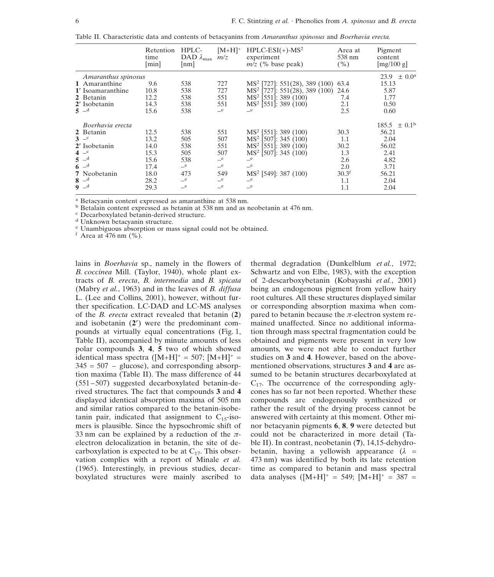|  | Table II. Characteristic data and contents of betacvanins from <i>Amaranthus spinosus</i> and <i>Boerhavia erecta</i> . |  |  |  |  |  |  |  |  |  |
|--|-------------------------------------------------------------------------------------------------------------------------|--|--|--|--|--|--|--|--|--|
|--|-------------------------------------------------------------------------------------------------------------------------|--|--|--|--|--|--|--|--|--|

|                                      | Retention<br>time<br>[min] | HPLC-<br>DAD $\lambda_{\text{max}}$<br>$\lfloor$ nm $\rfloor$ | $[M+H]$ <sup>+</sup><br>m/z | $HPLC-ESI(+)-MS2$<br>experiment<br>$m\overline{z}$ (% base peak) | Area at<br>538 nm<br>( %) | Pigment<br>content<br>[mg/100 g]        |
|--------------------------------------|----------------------------|---------------------------------------------------------------|-----------------------------|------------------------------------------------------------------|---------------------------|-----------------------------------------|
| Amaranthus spinosus<br>1 Amaranthine | 9.6                        | 538                                                           | 727                         | MS <sup>2</sup> [727]: 551(28), 389 (100)                        | 63.4                      | $\pm$ 0.0 <sup>a</sup><br>23.9<br>15.13 |
| 1' Isoamaranthine                    | 10.8                       | 538                                                           | 727                         | MS <sup>2</sup> [727]: 551(28), 389 (100)                        | 24.6                      | 5.87                                    |
| 2 Betanin                            | 12.2                       | 538                                                           | 551                         | MS <sup>2</sup> [551]: 389 (100)                                 | 7.4                       | 1.77                                    |
| 2' Isobetanin                        | 14.3                       | 538                                                           | 551                         | MS <sup>2</sup> [551]: 389 (100)                                 | 2.1                       | 0.50                                    |
| $5 -$ d                              | 15.6                       | 538                                                           | $\mathbf{e}$                | $\mathbf{e}$                                                     | 2.5                       | 0.60                                    |
| Boerhavia erecta                     |                            |                                                               |                             |                                                                  |                           | $185.5 \pm 0.1^{\rm b}$                 |
| 2 Betanin                            | 12.5                       | 538                                                           | 551                         | MS <sup>2</sup> [551]: 389 (100)                                 | 30.3                      | 56.21                                   |
| $3 -c$                               | 13.2                       | 505                                                           | 507                         | MS <sup>2</sup> [507]: 345 (100)                                 | $1.1\,$                   | 2.04                                    |
| 2' Isobetanin                        | 14.0                       | 538                                                           | 551                         | MS <sup>2</sup> [551]: 389 (100)                                 | 30.2                      | 56.02                                   |
| $4^{-c}$                             | 15.3                       | 505                                                           | 507                         | $MS2$ [507]: 345 (100)                                           | 1.3                       | 2.41                                    |
| $5 -d$                               | 15.6                       | 538                                                           | $-e$                        | $-e$                                                             | 2.6                       | 4.82                                    |
| $6 -d$                               | 17.4                       | $-e$                                                          | $-e$                        | $-$ e                                                            | 2.0                       | 3.71                                    |
| 7 Neobetanin                         | 18.0                       | 473                                                           | 549                         | MS <sup>2</sup> [549]: 387 (100)                                 | 30.3 <sup>f</sup>         | 56.21                                   |
| $8 -d$                               | 28.2                       | $-e$                                                          | e                           | $-e$                                                             | 1.1                       | 2.04                                    |
| $9 -d$                               | 29.3                       | $\mathbf{e}$                                                  | $\mathbf{-}^e$              | $\mathbf{e}$                                                     | 1.1                       | 2.04                                    |

<sup>a</sup> Betacyanin content expressed as amaranthine at 538 nm.<br>
<sup>b</sup> Betalain content expressed as betanin at 538 nm and as neobetanin at 476 nm.<br>
<sup>c</sup> Decarboxylated betanin-derived structure.<br>
<sup>d</sup> Unknown betacyanin structure

lains in *Boerhavia* sp., namely in the flowers of *B. coccinea* Mill. (Taylor, 1940), whole plant extracts of *B. erecta*, *B. intermedia* and *B. spicata* (Mabry *et al.*, 1963) and in the leaves of *B. diffusa* L. (Lee and Collins, 2001), however, without further specification. LC-DAD and LC-MS analyses of the *B. erecta* extract revealed that betanin (**2**) and isobetanin (**2**) were the predominant compounds at virtually equal concentrations (Fig. 1, Table II), accompanied by minute amounts of less polar compounds **3**, **4**, **5** two of which showed identical mass spectra  $([M+H]^+ = 507; [M+H]^+ =$  $345 = 507$  – glucose), and corresponding absorption maxima (Table II). The mass difference of 44  $(551-507)$  suggested decarboxylated betanin-derived structures. The fact that compounds **3** and **4** displayed identical absorption maxima of 505 nm and similar ratios compared to the betanin-isobetanin pair, indicated that assignment to  $C_1$ <sub>5</sub>-isomers is plausible. Since the hypsochromic shift of 33 nm can be explained by a reduction of the  $\pi$ electron delocalization in betanin, the site of decarboxylation is expected to be at  $C_{17}$ . This observation complies with a report of Minale *et al.* (1965). Interestingly, in previous studies, decarboxylated structures were mainly ascribed to

thermal degradation (Dunkelblum *et al.*, 1972; Schwartz and von Elbe, 1983), with the exception of 2-descarboxybetanin (Kobayashi *et al.*, 2001) being an endogenous pigment from yellow hairy root cultures. All these structures displayed similar or corresponding absorption maxima when compared to betanin because the  $\pi$ -electron system remained unaffected. Since no additional information through mass spectral fragmentation could be obtained and pigments were present in very low amounts, we were not able to conduct further studies on **3** and **4**. However, based on the abovementioned observations, structures **3** and **4** are assumed to be betanin structures decarboxylated at  $C_{17}$ . The occurrence of the corresponding aglycones has so far not been reported. Whether these compounds are endogenously synthesized or rather the result of the drying process cannot be answered with certainty at this moment. Other minor betacyanin pigments **6**, **8**, **9** were detected but could not be characterized in more detail (Table II). In contrast, neobetanin (**7**), 14,15-dehydrobetanin, having a yellowish appearance  $(\lambda =$ 473 nm) was identified by both its late retention time as compared to betanin and mass spectral data analyses  $([M+H]^+ = 549; [M+H]^+ = 387 =$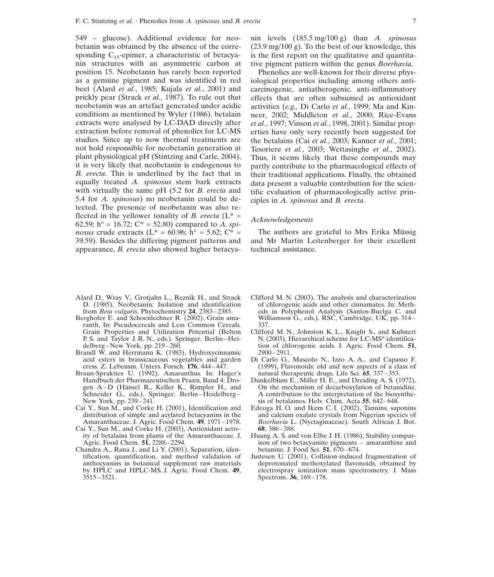549 – glucose). Additional evidence for neobetanin was obtained by the absence of the corresponding  $C_{15}$ -epimer, a characteristic of betacyanin structures with an asymmetric carbon at position 15. Neobetanin has rarely been reported as a genuine pigment and was identified in red beet (Alard *et al.*, 1985; Kujala *et al.*, 2001) and prickly pear (Strack *et al.*, 1987). To rule out that neobetanin was an artefact generated under acidic conditions as mentioned by Wyler (1986), betalain extracts were analysed by LC-DAD directly after extraction before removal of phenolics for LC-MS studies. Since up to now thermal treatments are not hold responsible for neobetanin generation at plant physiological pH (Stintzing and Carle, 2004), it is very likely that neobetanin is endogenous to *B. erecta*. This is underlined by the fact that in equally treated *A. spinosus* stem bark extracts with virtually the same pH (5.2 for *B. erecta* and 5.4 for *A. spinosus*) no neobetanin could be detected. The presence of neobetanin was also reflected in the yellower tonality of *B. erecta* ( $L^*$  = 62.59; h<sup>o</sup> = 16.72; C<sup>\*</sup> = 52.80) compared to *A. spinosus* crude extracts ( $L^* = 60.96$ ;  $h^{\circ} = 5.62$ ;  $C^* =$ 39.59). Besides the differing pigment patterns and appearance, *B. erecta* also showed higher betacya-

- Alard D., Wray V., Grotjahn L., Reznik H., and Strack Clifford M. N. (2003), The analysis and characterization D. (1985), Neobetanin: Isolation and identification of chlorogenic acids and other cinnamates. In: Meth-
- Berghofer E. and Schoenlechner R. (2002), Grain ama-<br>
ranth, In: Pseudocereals and Less Common Cereals. 337. ranth, In: Pseudocereals and Less Common Cereals.<br>Grain Properties and Utilization Potential (Belton
- Brandl W. and Herrmann K. (1983), Hydroxycinnamic 2900–2911.<br>acid esters in brassicaceous vegetables and garden Di Carlo G. acid esters in brassicaceous vegetables and garden Di Carlo G., Mascolo N., Izzo A. A., and Capasso F. cress. Z. Lebensm. Unters. Forsch. 176, 444–447. (1999), Flavonoids: old and new aspects of a class of
- Braun-Sprakties U. (1992), Amaranthus. In: Hager's Handbuch der Pharmazeutischen Praxis, Band 4: Dro-Schneider G., eds.). Springer, Berlin–Heidelberg–New York, pp. 239–241.
- New York, pp. 239–241.<br>Cai Y., Sun M., and Corke H. (2001), Identification and Edeoga H.O. and Ikem C. I. (2002), Tannins, sap
- Cai Y., Sun M., and Corke H. (2003), Antioxidant activ-<br>ity of betalains from plants of the Amaranthaceae. J. Huang A. S. and von Elbe J. H. (1986), Stability comparity of betalains from plants of the Amaranthaceae. J. Agric. Food Chem. 51, 2288–2294.
- Chandra A., Rana J., and Li Y. (2001), Separation, identification, quantification, and method validation of by HPLC and HPLC-MS. J. Agric. Food Chem. **49**,  $3515-3521$ .

nin levels (185.5 mg/100 g) than *A. spinosus* (23.9 mg/100 g). To the best of our knowledge, this is the first report on the qualitative and quantitative pigment pattern within the genus *Boerhavia*.

Phenolics are well-known for their diverse physiological properties including among others anticarcinogenic, antiatherogenic, anti-inflammatory effects that are often subsumed as antioxidant activities (*e.g.,* Di Carlo *et al.*, 1999; Ma and Kinneer, 2002; Middleton *et al.*, 2000; Rice-Evans *et al.*, 1997; Vinson *et al.*, 1998, 2001). Similar properties have only very recently been suggested for the betalains (Cai *et al.*, 2003; Kanner *et al.*, 2001; Tesoriere *et al.*, 2003; Wettasinghe *et al.*, 2002). Thus, it seems likely that these compounds may partly contribute to the pharmacological effects of their traditional applications. Finally, the obtained data present a valuable contribution for the scientific evaluation of pharmacologically active principles in *A. spinosus* and *B. erecta*.

### *Acknowledgements*

The authors are grateful to Mrs Erika Müssig and Mr Martin Leitenberger for their excellent technical assistance.

- D. (1985), Neobetanin: Isolation and identification of chlorogenic acids and other cinnamates. In: Meth-<br>from *Beta vulgaris*. Phytochemistry 24, 2383–2385. ods in Polyphenol Analysis (Santos-Buelga C. and ods in Polyphenol Analysis (Santos-Buelga C. and Williamson G., eds.). RSC, Cambridge, UK, pp. 314–
- Clifford M. N., Johnston K. L., Knight S., and Kuhnert P. S. and Taylor J. R. N., eds.). Springer, Berlin–Hei- N. (2003), Hierarchical scheme for LC-MS<sup>n</sup> identifica-<br>delberg–New York, pp. 219–260.<br>**Example:** New York, pp. 219–260. tion of chlorogenic acids. J. Agric. Food Chem. 51,
	- (1999), Flavonoids: old and new aspects of a class of natural therapeutic drugs. Life Sci. **65**, 337–353.
- Dunkelblum E., Miller H. E., and Dreiding A. S. (1972), On the mechanism of decarboxylation of betanidine. gen A–D (Hänsel R., Keller K., Rimpler H., and On the mechanism of decarboxylation of betanidine.<br>Schneider G., eds.). Springer, Berlin–Heidelberg– A contribution to the interpretation of the biosynthe-
- ai Y., Sun M., and Corke H. (2001), Identification and Edeoga H. O. and Ikem C. I. (2002), Tannins, saponins distribution of simple and acylated betacyanins in the and calcium oxalate crystals from Nigerian species of and calcium oxalate crystals from Nigerian species of Amaranthaceae. J. Agric. Food Chem. **49**, 1971–1978. *Boerhavia* L. (Nyctaginaceae). South African J. Bot. ii Y., Sun M., and Corke H. (2003), Antioxidant activ- **68**, 386–388.
	- ison of two betacyanine pigments amaranthine and betanine. J. Food Sci. 51, 670–674.
- Justesen U. (2001), Collision-induced fragmentation of deprotonated method values flavonoids, obtained by anthocyanins in botanical supplement raw materials deprotonated methoxylated flavonoids, obtained by by HPLC and HPLC-MS. J. Agric. Food Chem. 49, electrospray ionization mass spectrometry. J. Mass Spectrom. **36**, 169–178.